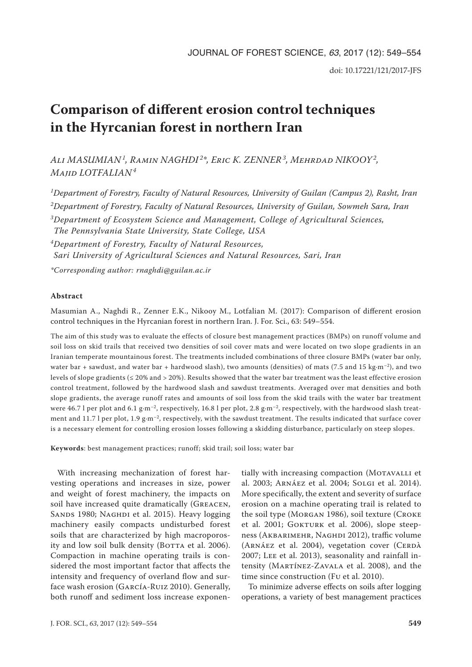# **Comparison of different erosion control techniques in the Hyrcanian forest in northern Iran**

*Ali MASUMIAN1, Ramin NAGHDI 2\*, Eric K. ZENNER3, Mehrdad NIKOOY2, Majid LOTFALIAN<sup>4</sup>*

*1 Department of Forestry, Faculty of Natural Resources, University of Guilan (Campus 2), Rasht, Iran 2Department of Forestry, Faculty of Natural Resources, University of Guilan, Sowmeh Sara, Iran 3Department of Ecosystem Science and Management, College of Agricultural Sciences, The Pennsylvania State University, State College, USA*

*4Department of Forestry, Faculty of Natural Resources, Sari University of Agricultural Sciences and Natural Resources, Sari, Iran*

*\*Corresponding author: rnaghdi@guilan.ac.ir*

## **Abstract**

Masumian A., Naghdi R., Zenner E.K., Nikooy M., Lotfalian M. (2017): Comparison of different erosion control techniques in the Hyrcanian forest in northern Iran. J. For. Sci., 63: 549–554.

The aim of this study was to evaluate the effects of closure best management practices (BMPs) on runoff volume and soil loss on skid trails that received two densities of soil cover mats and were located on two slope gradients in an Iranian temperate mountainous forest. The treatments included combinations of three closure BMPs (water bar only, water bar + sawdust, and water bar + hardwood slash), two amounts (densities) of mats (7.5 and 15 kg·m<sup>-2</sup>), and two levels of slope gradients ( $\leq 20\%$  and  $> 20\%$ ). Results showed that the water bar treatment was the least effective erosion control treatment, followed by the hardwood slash and sawdust treatments. Averaged over mat densities and both slope gradients, the average runoff rates and amounts of soil loss from the skid trails with the water bar treatment were 46.7 l per plot and 6.1 g·m<sup>-2</sup>, respectively, 16.8 l per plot, 2.8 g·m<sup>-2</sup>, respectively, with the hardwood slash treatment and 11.7 l per plot, 1.9 g·m<sup>-2</sup>, respectively, with the sawdust treatment. The results indicated that surface cover is a necessary element for controlling erosion losses following a skidding disturbance, particularly on steep slopes.

**Keywords**: best management practices; runoff; skid trail; soil loss; water bar

With increasing mechanization of forest harvesting operations and increases in size, power and weight of forest machinery, the impacts on soil have increased quite dramatically (GREACEN, SANDS 1980; NAGHDI et al. 2015). Heavy logging machinery easily compacts undisturbed forest soils that are characterized by high macroporosity and low soil bulk density (BOTTA et al. 2006). Compaction in machine operating trails is considered the most important factor that affects the intensity and frequency of overland flow and surface wash erosion (García-Ruiz 2010). Generally, both runoff and sediment loss increase exponen-

tially with increasing compaction (MOTAVALLI et al. 2003; Arnáez et al. 2004; Solgi et al. 2014). More specifically, the extent and severity of surface erosion on a machine operating trail is related to the soil type (Morgan 1986), soil texture (Croke et al. 2001; GOKTURK et al. 2006), slope steepness (AKBARIMEHR, NAGHDI 2012), traffic volume (ARNÁEZ et al. 2004), vegetation cover (CERDÀ 2007; Lee et al. 2013), seasonality and rainfall intensity (Martínez-Zavala et al. 2008), and the time since construction (Fu et al. 2010).

To minimize adverse effects on soils after logging operations, a variety of best management practices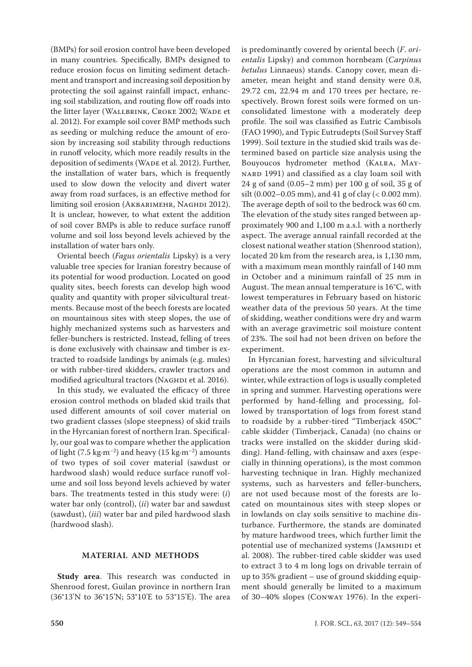(BMPs) for soil erosion control have been developed in many countries. Specifically, BMPs designed to reduce erosion focus on limiting sediment detachment and transport and increasing soil deposition by protecting the soil against rainfall impact, enhancing soil stabilization, and routing flow off roads into the litter layer (WALLBRINK, CROKE 2002; WADE et al. 2012). For example soil cover BMP methods such as seeding or mulching reduce the amount of erosion by increasing soil stability through reductions in runoff velocity, which more readily results in the deposition of sediments (WADE et al. 2012). Further, the installation of water bars, which is frequently used to slow down the velocity and divert water away from road surfaces, is an effective method for limiting soil erosion (AKBARIMEHR, NAGHDI 2012). It is unclear, however, to what extent the addition of soil cover BMPs is able to reduce surface runoff volume and soil loss beyond levels achieved by the installation of water bars only.

Oriental beech (*Fagus orientalis* Lipsky) is a very valuable tree species for Iranian forestry because of its potential for wood production. Located on good quality sites, beech forests can develop high wood quality and quantity with proper silvicultural treatments. Because most of the beech forests are located on mountainous sites with steep slopes, the use of highly mechanized systems such as harvesters and feller-bunchers is restricted. Instead, felling of trees is done exclusively with chainsaw and timber is extracted to roadside landings by animals (e.g. mules) or with rubber-tired skidders, crawler tractors and modified agricultural tractors (NAGHDI et al. 2016).

In this study, we evaluated the efficacy of three erosion control methods on bladed skid trails that used different amounts of soil cover material on two gradient classes (slope steepness) of skid trails in the Hyrcanian forest of northern Iran. Specifically, our goal was to compare whether the application of light (7.5 kg·m<sup>-2</sup>) and heavy (15 kg·m<sup>-2</sup>) amounts of two types of soil cover material (sawdust or hardwood slash) would reduce surface runoff volume and soil loss beyond levels achieved by water bars. The treatments tested in this study were: (*i*) water bar only (control), (*ii*) water bar and sawdust (sawdust), (*iii*) water bar and piled hardwood slash (hardwood slash).

## **MATERIAL AND METHODS**

**Study area**. This research was conducted in Shenrood forest, Guilan province in northern Iran (36°13'N to 36°15'N; 53°10'E to 53°15'E). The area is predominantly covered by oriental beech (*F*. *orientalis* Lipsky) and common hornbeam (*Carpinus betulus* Linnaeus) stands. Canopy cover, mean diameter, mean height and stand density were 0.8, 29.72 cm, 22.94 m and 170 trees per hectare, respectively. Brown forest soils were formed on unconsolidated limestone with a moderately deep profile. The soil was classified as Eutric Cambisols (FAO 1990), and Typic Eutrudepts (Soil Survey Staff 1999). Soil texture in the studied skid trails was determined based on particle size analysis using the Bouyoucos hydrometer method (Kalra, Maynard 1991) and classified as a clay loam soil with 24 g of sand (0.05–2 mm) per 100 g of soil, 35 g of silt (0.002–0.05 mm), and 41 g of clay (< 0.002 mm). The average depth of soil to the bedrock was 60 cm. The elevation of the study sites ranged between approximately 900 and 1,100 m a.s.l. with a northerly aspect. The average annual rainfall recorded at the closest national weather station (Shenrood station), located 20 km from the research area, is 1,130 mm, with a maximum mean monthly rainfall of 140 mm in October and a minimum rainfall of 25 mm in August. The mean annual temperature is 16°C, with lowest temperatures in February based on historic weather data of the previous 50 years. At the time of skidding, weather conditions were dry and warm with an average gravimetric soil moisture content of 23%. The soil had not been driven on before the experiment.

In Hyrcanian forest, harvesting and silvicultural operations are the most common in autumn and winter, while extraction of logs is usually completed in spring and summer. Harvesting operations were performed by hand-felling and processing, followed by transportation of logs from forest stand to roadside by a rubber-tired "Timberjack 450C" cable skidder (Timberjack, Canada) (no chains or tracks were installed on the skidder during skidding). Hand-felling, with chainsaw and axes (especially in thinning operations), is the most common harvesting technique in Iran. Highly mechanized systems, such as harvesters and feller-bunchers, are not used because most of the forests are located on mountainous sites with steep slopes or in lowlands on clay soils sensitive to machine disturbance. Furthermore, the stands are dominated by mature hardwood trees, which further limit the potential use of mechanized systems (JAMSHIDI et al. 2008). The rubber-tired cable skidder was used to extract 3 to 4 m long logs on drivable terrain of up to 35% gradient – use of ground skidding equipment should generally be limited to a maximum of 30–40% slopes (Conway 1976). In the experi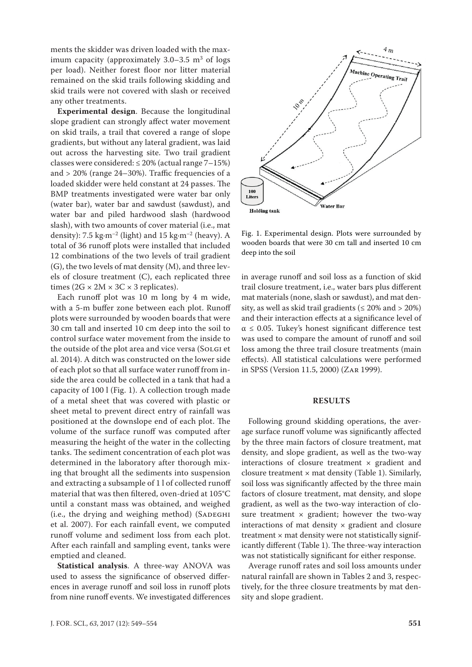ments the skidder was driven loaded with the maximum capacity (approximately  $3.0-3.5$  m<sup>3</sup> of logs per load). Neither forest floor nor litter material remained on the skid trails following skidding and skid trails were not covered with slash or received any other treatments.

**Experimental design**. Because the longitudinal slope gradient can strongly affect water movement on skid trails, a trail that covered a range of slope gradients, but without any lateral gradient, was laid out across the harvesting site. Two trail gradient classes were considered:  $\leq$  20% (actual range 7–15%) and  $>$  20% (range 24–30%). Traffic frequencies of a loaded skidder were held constant at 24 passes. The BMP treatments investigated were water bar only (water bar), water bar and sawdust (sawdust), and water bar and piled hardwood slash (hardwood slash), with two amounts of cover material (i.e., mat density): 7.5 kg·m<sup>-2</sup> (light) and 15 kg·m<sup>-2</sup> (heavy). A total of 36 runoff plots were installed that included 12 combinations of the two levels of trail gradient (G), the two levels of mat density (M), and three levels of closure treatment (C), each replicated three times ( $2G \times 2M \times 3C \times 3$  replicates).

Each runoff plot was 10 m long by 4 m wide, with a 5-m buffer zone between each plot. Runoff plots were surrounded by wooden boards that were 30 cm tall and inserted 10 cm deep into the soil to control surface water movement from the inside to the outside of the plot area and vice versa (Solgi et al. 2014). A ditch was constructed on the lower side of each plot so that all surface water runoff from inside the area could be collected in a tank that had a capacity of 100 l (Fig. 1). A collection trough made of a metal sheet that was covered with plastic or sheet metal to prevent direct entry of rainfall was positioned at the downslope end of each plot. The volume of the surface runoff was computed after measuring the height of the water in the collecting tanks. The sediment concentration of each plot was determined in the laboratory after thorough mixing that brought all the sediments into suspension and extracting a subsample of 1 l of collected runoff material that was then filtered, oven-dried at 105°C until a constant mass was obtained, and weighed (i.e., the drying and weighing method) (SADEGHI et al. 2007). For each rainfall event, we computed runoff volume and sediment loss from each plot. After each rainfall and sampling event, tanks were emptied and cleaned.

**Statistical analysis**. A three-way ANOVA was used to assess the significance of observed differences in average runoff and soil loss in runoff plots from nine runoff events. We investigated differences





Fig. 1. Experimental design. Plots were surrounded by wooden boards that were 30 cm tall and inserted 10 cm deep into the soil

in average runoff and soil loss as a function of skid trail closure treatment, i.e., water bars plus different mat materials (none, slash or sawdust), and mat density, as well as skid trail gradients ( $\leq 20\%$  and  $> 20\%)$ and their interaction effects at a significance level of  $\alpha \leq 0.05$ . Tukey's honest significant difference test was used to compare the amount of runoff and soil loss among the three trail closure treatments (main effects). All statistical calculations were performed in SPSS (Version 11.5, 2000) (Zar 1999).

#### **RESULTS**

Following ground skidding operations, the average surface runoff volume was significantly affected by the three main factors of closure treatment, mat density, and slope gradient, as well as the two-way interactions of closure treatment  $\times$  gradient and closure treatment  $\times$  mat density (Table 1). Similarly, soil loss was significantly affected by the three main factors of closure treatment, mat density, and slope gradient, as well as the two-way interaction of closure treatment  $\times$  gradient; however the two-way interactions of mat density  $\times$  gradient and closure treatment  $\times$  mat density were not statistically significantly different (Table 1). The three-way interaction was not statistically significant for either response.

Average runoff rates and soil loss amounts under natural rainfall are shown in Tables 2 and 3, respectively, for the three closure treatments by mat density and slope gradient.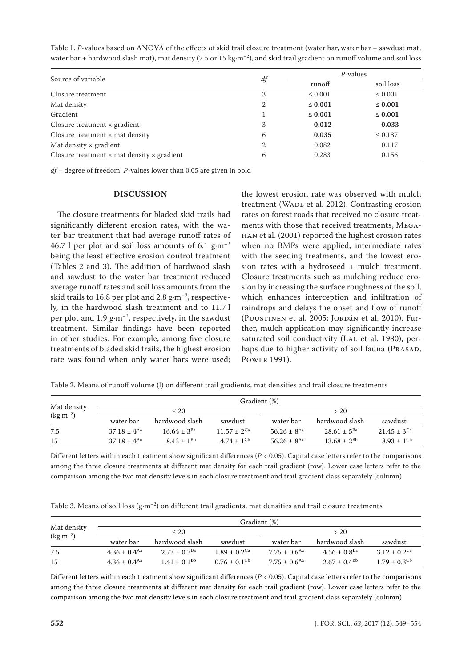| Source of variable                                       |    | P-values     |              |  |
|----------------------------------------------------------|----|--------------|--------------|--|
|                                                          | df | runoff       | soil loss    |  |
| Closure treatment                                        | 3  | $\leq 0.001$ | $\leq 0.001$ |  |
| Mat density                                              |    | $\leq 0.001$ | $\leq 0.001$ |  |
| Gradient                                                 |    | $\leq 0.001$ | $\leq 0.001$ |  |
| Closure treatment $\times$ gradient                      | 3  | 0.012        | 0.033        |  |
| Closure treatment $\times$ mat density                   | 6  | 0.035        | $\leq 0.137$ |  |
| Mat density $\times$ gradient                            | 2  | 0.082        | 0.117        |  |
| Closure treatment $\times$ mat density $\times$ gradient | 6  | 0.283        | 0.156        |  |

Table 1. *P*-values based on ANOVA of the effects of skid trail closure treatment (water bar, water bar + sawdust mat, water bar + hardwood slash mat), mat density (7.5 or 15 kg·m<sup>-2</sup>), and skid trail gradient on runoff volume and soil loss

*df* – degree of freedom, *P*-values lower than 0.05 are given in bold

#### **DISCUSSION**

The closure treatments for bladed skid trails had significantly different erosion rates, with the water bar treatment that had average runoff rates of 46.7 l per plot and soil loss amounts of 6.1  $\text{g} \cdot \text{m}^{-2}$ being the least effective erosion control treatment (Tables 2 and 3). The addition of hardwood slash and sawdust to the water bar treatment reduced average runoff rates and soil loss amounts from the skid trails to 16.8 per plot and  $2.8 \text{ g} \cdot \text{m}^{-2}$ , respectively, in the hardwood slash treatment and to 11.7 l per plot and 1.9  $\text{g} \cdot \text{m}^{-2}$ , respectively, in the sawdust treatment. Similar findings have been reported in other studies. For example, among five closure treatments of bladed skid trails, the highest erosion rate was found when only water bars were used;

the lowest erosion rate was observed with mulch treatment (WADE et al. 2012). Contrasting erosion rates on forest roads that received no closure treatments with those that received treatments, Megahan et al. (2001) reported the highest erosion rates when no BMPs were applied, intermediate rates with the seeding treatments, and the lowest erosion rates with a hydroseed + mulch treatment. Closure treatments such as mulching reduce erosion by increasing the surface roughness of the soil, which enhances interception and infiltration of raindrops and delays the onset and flow of runoff (Puustinen et al. 2005; Jordán et al. 2010). Further, mulch application may significantly increase saturated soil conductivity (LAL et al. 1980), perhaps due to higher activity of soil fauna (PRASAD, Power 1991).

| Table 2. Means of runoff volume (l) on different trail gradients, mat densities and trail closure treatments |  |
|--------------------------------------------------------------------------------------------------------------|--|
|--------------------------------------------------------------------------------------------------------------|--|

|                           | Gradient (%)                |                   |                   |                             |                    |                             |
|---------------------------|-----------------------------|-------------------|-------------------|-----------------------------|--------------------|-----------------------------|
| Mat density<br>$(kg·m-2)$ | $\leq 20$                   |                   |                   | > 20                        |                    |                             |
|                           | water bar                   | hardwood slash    | sawdust           | water bar                   | hardwood slash     | sawdust                     |
| 7.5                       | $37.18 \pm 4$ <sup>Aa</sup> | $16.64 + 3^{Ba}$  | $11.57 + 2^{Ca}$  | $56.26 + 8$ <sup>Aa</sup>   | $28.61 \pm 5^{Ba}$ | $21.45 \pm 3$ <sup>Ca</sup> |
| 15                        | $37.18 \pm 4$ <sup>Aa</sup> | $8.43 \pm 1^{Bb}$ | $4.74 \pm 1^{Cb}$ | $56.26 \pm 8$ <sup>Aa</sup> | $13.68 \pm 2^{Bb}$ | $8.93 \pm 1^{Cb}$           |

Different letters within each treatment show significant differences  $(P < 0.05)$ . Capital case letters refer to the comparisons among the three closure treatments at different mat density for each trail gradient (row). Lower case letters refer to the comparison among the two mat density levels in each closure treatment and trail gradient class separately (column)

Table 3. Means of soil loss  $(g \cdot m^{-2})$  on different trail gradients, mat densities and trail closure treatments

|                                 | Gradient (%)                 |                     |                              |                              |                              |                              |
|---------------------------------|------------------------------|---------------------|------------------------------|------------------------------|------------------------------|------------------------------|
| Mat density                     | $\leq 20$                    |                     |                              | >20                          |                              |                              |
| $\text{(kg}\cdot\text{m}^{-2})$ | water bar                    | hardwood slash      | sawdust                      | water bar                    | hardwood slash               | sawdust                      |
| 7.5                             | $4.36 \pm 0.4$ <sup>Aa</sup> | $2.73 \pm 0.3^{Ba}$ | $1.89 \pm 0.2$ <sup>Ca</sup> | $7.75 \pm 0.6$ <sup>Aa</sup> | $4.56 \pm 0.8$ <sup>Ba</sup> | $3.12 \pm 0.2$ <sup>Ca</sup> |
| 15                              | $4.36 \pm 0.4$ <sup>Aa</sup> | $1.41 \pm 0.1^{Bb}$ | $0.76 \pm 0.1$ <sup>Cb</sup> | $7.75 \pm 0.6$ <sup>Aa</sup> | $2.67 + 0.4^{Bb}$            | $1.79 \pm 0.3$ <sup>Cb</sup> |

Different letters within each treatment show significant differences ( $P < 0.05$ ). Capital case letters refer to the comparisons among the three closure treatments at different mat density for each trail gradient (row). Lower case letters refer to the comparison among the two mat density levels in each closure treatment and trail gradient class separately (column)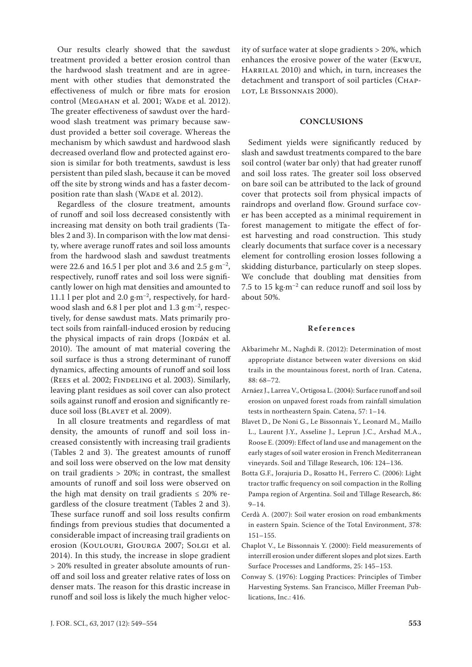Our results clearly showed that the sawdust treatment provided a better erosion control than the hardwood slash treatment and are in agreement with other studies that demonstrated the effectiveness of mulch or fibre mats for erosion control (MEGAHAN et al. 2001; WADE et al. 2012). The greater effectiveness of sawdust over the hardwood slash treatment was primary because sawdust provided a better soil coverage. Whereas the mechanism by which sawdust and hardwood slash decreased overland flow and protected against erosion is similar for both treatments, sawdust is less persistent than piled slash, because it can be moved off the site by strong winds and has a faster decomposition rate than slash (WADE et al. 2012).

Regardless of the closure treatment, amounts of runoff and soil loss decreased consistently with increasing mat density on both trail gradients (Tables 2 and 3). In comparison with the low mat density, where average runoff rates and soil loss amounts from the hardwood slash and sawdust treatments were 22.6 and 16.5 l per plot and 3.6 and 2.5  $g \cdot m^{-2}$ , respectively, runoff rates and soil loss were significantly lower on high mat densities and amounted to 11.1 l per plot and 2.0  $g·m<sup>-2</sup>$ , respectively, for hardwood slash and  $6.8$  l per plot and  $1.3$  g·m<sup>-2</sup>, respectively, for dense sawdust mats. Mats primarily protect soils from rainfall-induced erosion by reducing the physical impacts of rain drops (JORDáN et al. 2010). The amount of mat material covering the soil surface is thus a strong determinant of runoff dynamics, affecting amounts of runoff and soil loss (REES et al. 2002; FINDELING et al. 2003). Similarly, leaving plant residues as soil cover can also protect soils against runoff and erosion and significantly reduce soil loss (BLAVET et al. 2009).

In all closure treatments and regardless of mat density, the amounts of runoff and soil loss increased consistently with increasing trail gradients (Tables 2 and 3). The greatest amounts of runoff and soil loss were observed on the low mat density on trail gradients > 20%; in contrast, the smallest amounts of runoff and soil loss were observed on the high mat density on trail gradients  $\leq 20\%$  regardless of the closure treatment (Tables 2 and 3). These surface runoff and soil loss results confirm findings from previous studies that documented a considerable impact of increasing trail gradients on erosion (Koulouri, Giourga 2007; Solgi et al. 2014). In this study, the increase in slope gradient > 20% resulted in greater absolute amounts of runoff and soil loss and greater relative rates of loss on denser mats. The reason for this drastic increase in runoff and soil loss is likely the much higher velocity of surface water at slope gradients > 20%, which enhances the erosive power of the water (Ekwue, HARRILAL 2010) and which, in turn, increases the detachment and transport of soil particles (Chap-LOT, LE BISSONNAIS 2000).

#### **CONCLUSIONS**

Sediment yields were significantly reduced by slash and sawdust treatments compared to the bare soil control (water bar only) that had greater runoff and soil loss rates. The greater soil loss observed on bare soil can be attributed to the lack of ground cover that protects soil from physical impacts of raindrops and overland flow. Ground surface cover has been accepted as a minimal requirement in forest management to mitigate the effect of forest harvesting and road construction. This study clearly documents that surface cover is a necessary element for controlling erosion losses following a skidding disturbance, particularly on steep slopes. We conclude that doubling mat densities from 7.5 to 15 kg $\cdot$ m<sup>-2</sup> can reduce runoff and soil loss by about 50%.

### **References**

- Akbarimehr M., Naghdi R. (2012): Determination of most appropriate distance between water diversions on skid trails in the mountainous forest, north of Iran. Catena, 88: 68–72.
- Arnáez J., Larrea V., Ortigosa L. (2004): Surface runoff and soil erosion on unpaved forest roads from rainfall simulation tests in northeastern Spain. Catena, 57: 1–14.
- Blavet D., De Noni G., Le Bissonnais Y., Leonard M., Maillo L., Laurent J.Y., Asseline J., Leprun J.C., Arshad M.A., Roose E. (2009): Effect of land use and management on the early stages of soil water erosion in French Mediterranean vineyards. Soil and Tillage Research, 106: 124–136.
- Botta G.F., Jorajuria D., Rosatto H., Ferrero C. (2006): Light tractor traffic frequency on soil compaction in the Rolling Pampa region of Argentina. Soil and Tillage Research, 86: 9–14.
- Cerdà A. (2007): Soil water erosion on road embankments in eastern Spain. Science of the Total Environment, 378: 151–155.
- Chaplot V., Le Bissonnais Y. (2000): Field measurements of interrill erosion under different slopes and plot sizes. Earth Surface Processes and Landforms, 25: 145–153.
- Conway S. (1976): Logging Practices: Principles of Timber Harvesting Systems. San Francisco, Miller Freeman Publications, Inc.: 416.